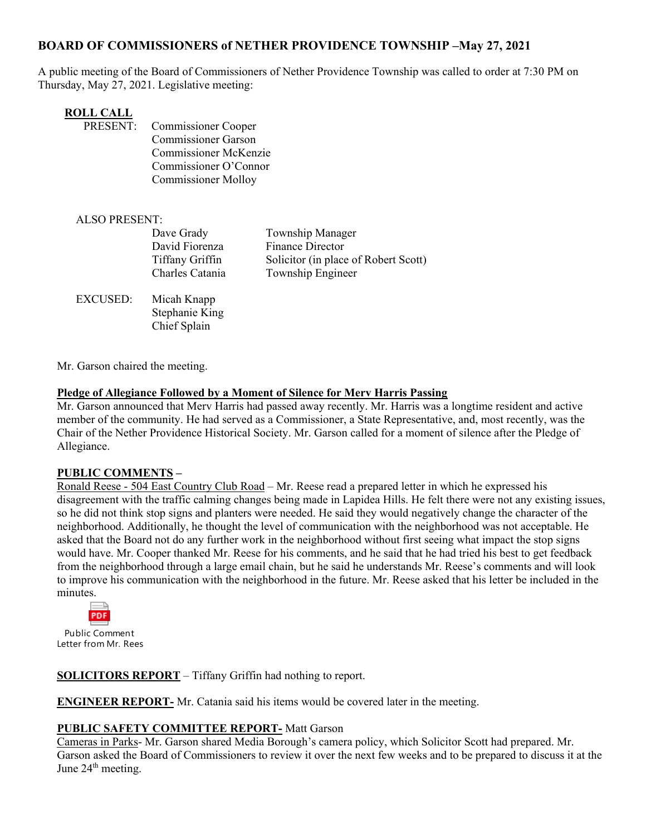# **BOARD OF COMMISSIONERS of NETHER PROVIDENCE TOWNSHIP –May 27, 2021**

A public meeting of the Board of Commissioners of Nether Providence Township was called to order at 7:30 PM on Thursday, May 27, 2021. Legislative meeting:

| ROLL CALL       |                              |
|-----------------|------------------------------|
| <b>PRESENT:</b> | <b>Commissioner Cooper</b>   |
|                 | <b>Commissioner Garson</b>   |
|                 | <b>Commissioner McKenzie</b> |
|                 | Commissioner O'Connor        |
|                 | <b>Commissioner Molloy</b>   |

| <b>ALSO PRESENT:</b> |                                                                    |                                                                                                          |
|----------------------|--------------------------------------------------------------------|----------------------------------------------------------------------------------------------------------|
|                      | Dave Grady<br>David Fiorenza<br>Tiffany Griffin<br>Charles Catania | Township Manager<br><b>Finance Director</b><br>Solicitor (in place of Robert Scott)<br>Township Engineer |
| <b>EXCUSED:</b>      | Micah Knapp<br>Stephanie King<br>Chief Splain                      |                                                                                                          |

Mr. Garson chaired the meeting.

#### **Pledge of Allegiance Followed by a Moment of Silence for Merv Harris Passing**

Mr. Garson announced that Merv Harris had passed away recently. Mr. Harris was a longtime resident and active member of the community. He had served as a Commissioner, a State Representative, and, most recently, was the Chair of the Nether Providence Historical Society. Mr. Garson called for a moment of silence after the Pledge of Allegiance.

#### **PUBLIC COMMENTS –**

Ronald Reese - 504 East Country Club Road – Mr. Reese read a prepared letter in which he expressed his disagreement with the traffic calming changes being made in Lapidea Hills. He felt there were not any existing issues, so he did not think stop signs and planters were needed. He said they would negatively change the character of the neighborhood. Additionally, he thought the level of communication with the neighborhood was not acceptable. He asked that the Board not do any further work in the neighborhood without first seeing what impact the stop signs would have. Mr. Cooper thanked Mr. Reese for his comments, and he said that he had tried his best to get feedback from the neighborhood through a large email chain, but he said he understands Mr. Reese's comments and will look to improve his communication with the neighborhood in the future. Mr. Reese asked that his letter be included in the minutes.



Public Comment Letter from Mr. Rees

**SOLICITORS REPORT** – Tiffany Griffin had nothing to report.

**ENGINEER REPORT-** Mr. Catania said his items would be covered later in the meeting.

#### **PUBLIC SAFETY COMMITTEE REPORT-** Matt Garson

Cameras in Parks- Mr. Garson shared Media Borough's camera policy, which Solicitor Scott had prepared. Mr. Garson asked the Board of Commissioners to review it over the next few weeks and to be prepared to discuss it at the June 24<sup>th</sup> meeting.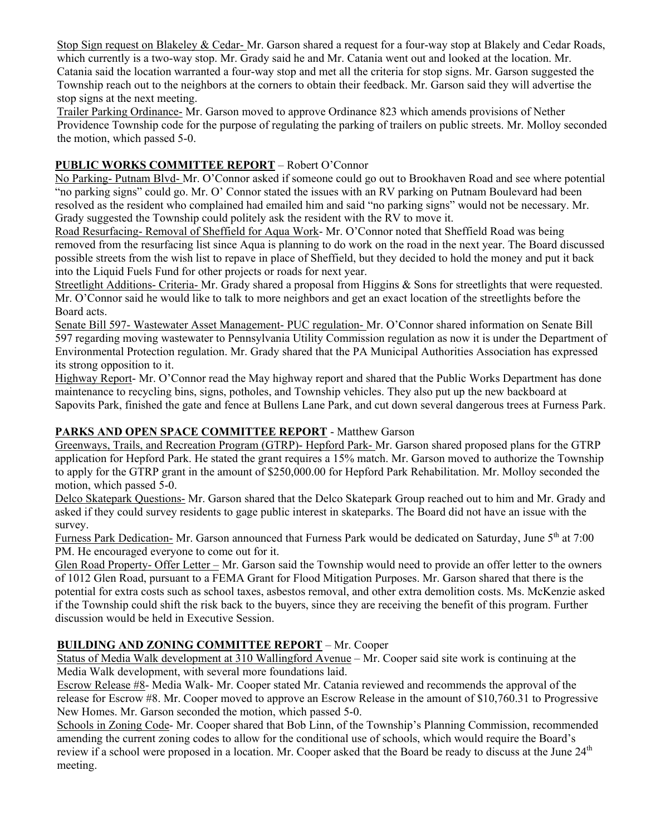Stop Sign request on Blakeley & Cedar- Mr. Garson shared a request for a four-way stop at Blakely and Cedar Roads, which currently is a two-way stop. Mr. Grady said he and Mr. Catania went out and looked at the location. Mr. Catania said the location warranted a four-way stop and met all the criteria for stop signs. Mr. Garson suggested the Township reach out to the neighbors at the corners to obtain their feedback. Mr. Garson said they will advertise the stop signs at the next meeting.

Trailer Parking Ordinance- Mr. Garson moved to approve Ordinance 823 which amends provisions of Nether Providence Township code for the purpose of regulating the parking of trailers on public streets. Mr. Molloy seconded the motion, which passed 5-0.

### **PUBLIC WORKS COMMITTEE REPORT** – Robert O'Connor

No Parking- Putnam Blvd- Mr. O'Connor asked if someone could go out to Brookhaven Road and see where potential "no parking signs" could go. Mr. O' Connor stated the issues with an RV parking on Putnam Boulevard had been resolved as the resident who complained had emailed him and said "no parking signs" would not be necessary. Mr. Grady suggested the Township could politely ask the resident with the RV to move it.

Road Resurfacing- Removal of Sheffield for Aqua Work- Mr. O'Connor noted that Sheffield Road was being removed from the resurfacing list since Aqua is planning to do work on the road in the next year. The Board discussed possible streets from the wish list to repave in place of Sheffield, but they decided to hold the money and put it back into the Liquid Fuels Fund for other projects or roads for next year.

Streetlight Additions- Criteria- Mr. Grady shared a proposal from Higgins & Sons for streetlights that were requested. Mr. O'Connor said he would like to talk to more neighbors and get an exact location of the streetlights before the Board acts.

Senate Bill 597- Wastewater Asset Management- PUC regulation- Mr. O'Connor shared information on Senate Bill 597 regarding moving wastewater to Pennsylvania Utility Commission regulation as now it is under the Department of Environmental Protection regulation. Mr. Grady shared that the PA Municipal Authorities Association has expressed its strong opposition to it.

Highway Report- Mr. O'Connor read the May highway report and shared that the Public Works Department has done maintenance to recycling bins, signs, potholes, and Township vehicles. They also put up the new backboard at Sapovits Park, finished the gate and fence at Bullens Lane Park, and cut down several dangerous trees at Furness Park.

## **PARKS AND OPEN SPACE COMMITTEE REPORT** - Matthew Garson

Greenways, Trails, and Recreation Program (GTRP)- Hepford Park- Mr. Garson shared proposed plans for the GTRP application for Hepford Park. He stated the grant requires a 15% match. Mr. Garson moved to authorize the Township to apply for the GTRP grant in the amount of \$250,000.00 for Hepford Park Rehabilitation. Mr. Molloy seconded the motion, which passed 5-0.

Delco Skatepark Questions- Mr. Garson shared that the Delco Skatepark Group reached out to him and Mr. Grady and asked if they could survey residents to gage public interest in skateparks. The Board did not have an issue with the survey.

Furness Park Dedication- Mr. Garson announced that Furness Park would be dedicated on Saturday, June 5<sup>th</sup> at 7:00 PM. He encouraged everyone to come out for it.

Glen Road Property- Offer Letter – Mr. Garson said the Township would need to provide an offer letter to the owners of 1012 Glen Road, pursuant to a FEMA Grant for Flood Mitigation Purposes. Mr. Garson shared that there is the potential for extra costs such as school taxes, asbestos removal, and other extra demolition costs. Ms. McKenzie asked if the Township could shift the risk back to the buyers, since they are receiving the benefit of this program. Further discussion would be held in Executive Session.

## **BUILDING AND ZONING COMMITTEE REPORT** – Mr. Cooper

Status of Media Walk development at 310 Wallingford Avenue – Mr. Cooper said site work is continuing at the Media Walk development, with several more foundations laid.

Escrow Release #8- Media Walk- Mr. Cooper stated Mr. Catania reviewed and recommends the approval of the release for Escrow #8. Mr. Cooper moved to approve an Escrow Release in the amount of \$10,760.31 to Progressive New Homes. Mr. Garson seconded the motion, which passed 5-0.

Schools in Zoning Code- Mr. Cooper shared that Bob Linn, of the Township's Planning Commission, recommended amending the current zoning codes to allow for the conditional use of schools, which would require the Board's review if a school were proposed in a location. Mr. Cooper asked that the Board be ready to discuss at the June 24<sup>th</sup> meeting.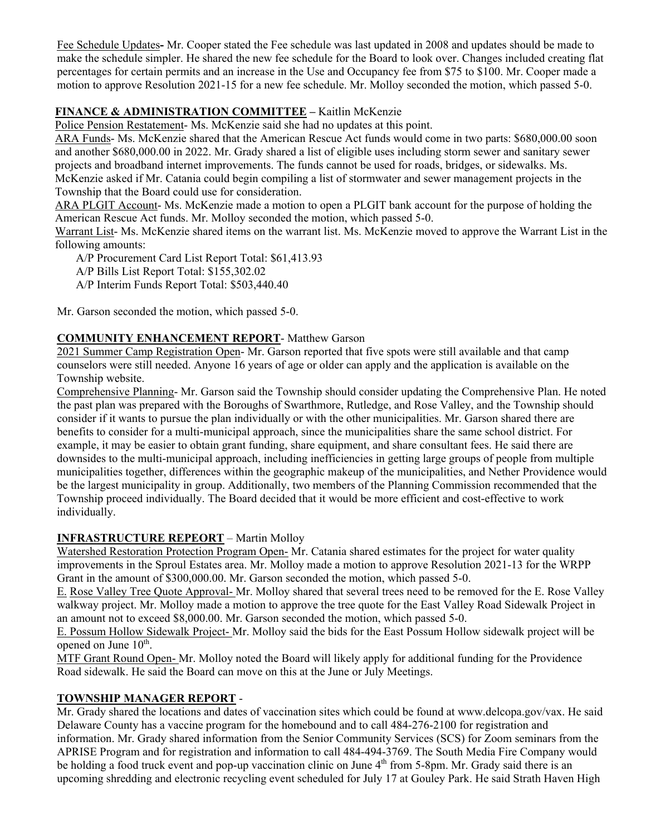Fee Schedule Updates**-** Mr. Cooper stated the Fee schedule was last updated in 2008 and updates should be made to make the schedule simpler. He shared the new fee schedule for the Board to look over. Changes included creating flat percentages for certain permits and an increase in the Use and Occupancy fee from \$75 to \$100. Mr. Cooper made a motion to approve Resolution 2021-15 for a new fee schedule. Mr. Molloy seconded the motion, which passed 5-0.

### **FINANCE & ADMINISTRATION COMMITTEE –** Kaitlin McKenzie

Police Pension Restatement- Ms. McKenzie said she had no updates at this point.

ARA Funds- Ms. McKenzie shared that the American Rescue Act funds would come in two parts: \$680,000.00 soon and another \$680,000.00 in 2022. Mr. Grady shared a list of eligible uses including storm sewer and sanitary sewer projects and broadband internet improvements. The funds cannot be used for roads, bridges, or sidewalks. Ms. McKenzie asked if Mr. Catania could begin compiling a list of stormwater and sewer management projects in the Township that the Board could use for consideration.

ARA PLGIT Account- Ms. McKenzie made a motion to open a PLGIT bank account for the purpose of holding the American Rescue Act funds. Mr. Molloy seconded the motion, which passed 5-0.

Warrant List- Ms. McKenzie shared items on the warrant list. Ms. McKenzie moved to approve the Warrant List in the following amounts:

A/P Procurement Card List Report Total: \$61,413.93

A/P Bills List Report Total: \$155,302.02

A/P Interim Funds Report Total: \$503,440.40

Mr. Garson seconded the motion, which passed 5-0.

### **COMMUNITY ENHANCEMENT REPORT**- Matthew Garson

2021 Summer Camp Registration Open- Mr. Garson reported that five spots were still available and that camp counselors were still needed. Anyone 16 years of age or older can apply and the application is available on the Township website.

Comprehensive Planning- Mr. Garson said the Township should consider updating the Comprehensive Plan. He noted the past plan was prepared with the Boroughs of Swarthmore, Rutledge, and Rose Valley, and the Township should consider if it wants to pursue the plan individually or with the other municipalities. Mr. Garson shared there are benefits to consider for a multi-municipal approach, since the municipalities share the same school district. For example, it may be easier to obtain grant funding, share equipment, and share consultant fees. He said there are downsides to the multi-municipal approach, including inefficiencies in getting large groups of people from multiple municipalities together, differences within the geographic makeup of the municipalities, and Nether Providence would be the largest municipality in group. Additionally, two members of the Planning Commission recommended that the Township proceed individually. The Board decided that it would be more efficient and cost-effective to work individually.

#### **INFRASTRUCTURE REPEORT** – Martin Molloy

Watershed Restoration Protection Program Open- Mr. Catania shared estimates for the project for water quality improvements in the Sproul Estates area. Mr. Molloy made a motion to approve Resolution 2021-13 for the WRPP Grant in the amount of \$300,000.00. Mr. Garson seconded the motion, which passed 5-0.

E. Rose Valley Tree Quote Approval- Mr. Molloy shared that several trees need to be removed for the E. Rose Valley walkway project. Mr. Molloy made a motion to approve the tree quote for the East Valley Road Sidewalk Project in an amount not to exceed \$8,000.00. Mr. Garson seconded the motion, which passed 5-0.

E. Possum Hollow Sidewalk Project- Mr. Molloy said the bids for the East Possum Hollow sidewalk project will be opened on June  $10^{th}$ .

MTF Grant Round Open- Mr. Molloy noted the Board will likely apply for additional funding for the Providence Road sidewalk. He said the Board can move on this at the June or July Meetings.

## **TOWNSHIP MANAGER REPORT** -

Mr. Grady shared the locations and dates of vaccination sites which could be found at www.delcopa.gov/vax. He said Delaware County has a vaccine program for the homebound and to call 484-276-2100 for registration and information. Mr. Grady shared information from the Senior Community Services (SCS) for Zoom seminars from the APRISE Program and for registration and information to call 484-494-3769. The South Media Fire Company would be holding a food truck event and pop-up vaccination clinic on June 4<sup>th</sup> from 5-8pm. Mr. Grady said there is an upcoming shredding and electronic recycling event scheduled for July 17 at Gouley Park. He said Strath Haven High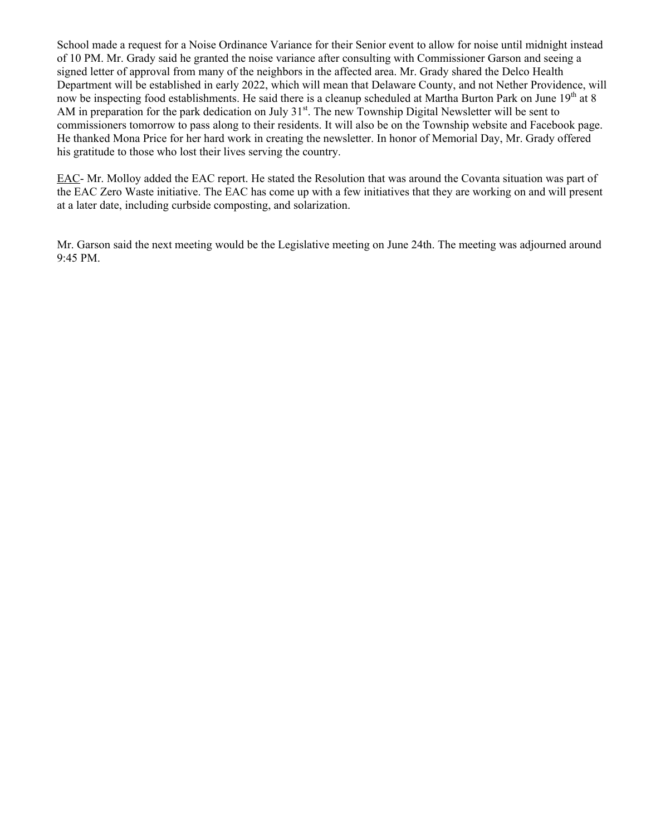School made a request for a Noise Ordinance Variance for their Senior event to allow for noise until midnight instead of 10 PM. Mr. Grady said he granted the noise variance after consulting with Commissioner Garson and seeing a signed letter of approval from many of the neighbors in the affected area. Mr. Grady shared the Delco Health Department will be established in early 2022, which will mean that Delaware County, and not Nether Providence, will now be inspecting food establishments. He said there is a cleanup scheduled at Martha Burton Park on June 19<sup>th</sup> at 8 AM in preparation for the park dedication on July  $31<sup>st</sup>$ . The new Township Digital Newsletter will be sent to commissioners tomorrow to pass along to their residents. It will also be on the Township website and Facebook page. He thanked Mona Price for her hard work in creating the newsletter. In honor of Memorial Day, Mr. Grady offered his gratitude to those who lost their lives serving the country.

EAC- Mr. Molloy added the EAC report. He stated the Resolution that was around the Covanta situation was part of the EAC Zero Waste initiative. The EAC has come up with a few initiatives that they are working on and will present at a later date, including curbside composting, and solarization.

Mr. Garson said the next meeting would be the Legislative meeting on June 24th. The meeting was adjourned around 9:45 PM.